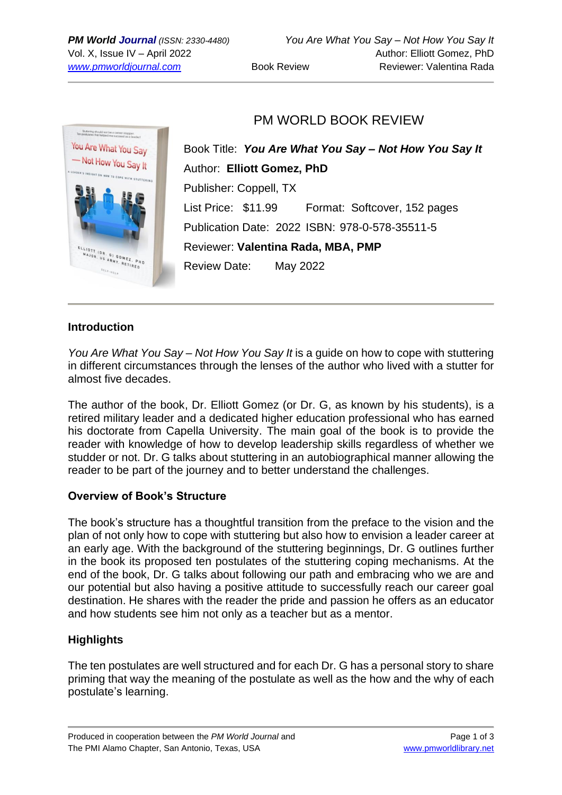

# PM WORLD BOOK REVIEW

Book Title: *You Are What You Say – Not How You Say It* Author: **Elliott Gomez, PhD** Publisher: Coppell, TX List Price: \$11.99 Format: Softcover, 152 pages Publication Date: 2022 ISBN: 978-0-578-35511-5 Reviewer: **Valentina Rada, MBA, PMP** Review Date: May 2022

### **Introduction**

*You Are What You Say – Not How You Say It* is a guide on how to cope with stuttering in different circumstances through the lenses of the author who lived with a stutter for almost five decades.

The author of the book, Dr. Elliott Gomez (or Dr. G, as known by his students), is a retired military leader and a dedicated higher education professional who has earned his doctorate from Capella University. The main goal of the book is to provide the reader with knowledge of how to develop leadership skills regardless of whether we studder or not. Dr. G talks about stuttering in an autobiographical manner allowing the reader to be part of the journey and to better understand the challenges.

### **Overview of Book's Structure**

The book's structure has a thoughtful transition from the preface to the vision and the plan of not only how to cope with stuttering but also how to envision a leader career at an early age. With the background of the stuttering beginnings, Dr. G outlines further in the book its proposed ten postulates of the stuttering coping mechanisms. At the end of the book, Dr. G talks about following our path and embracing who we are and our potential but also having a positive attitude to successfully reach our career goal destination. He shares with the reader the pride and passion he offers as an educator and how students see him not only as a teacher but as a mentor.

# **Highlights**

The ten postulates are well structured and for each Dr. G has a personal story to share priming that way the meaning of the postulate as well as the how and the why of each postulate's learning.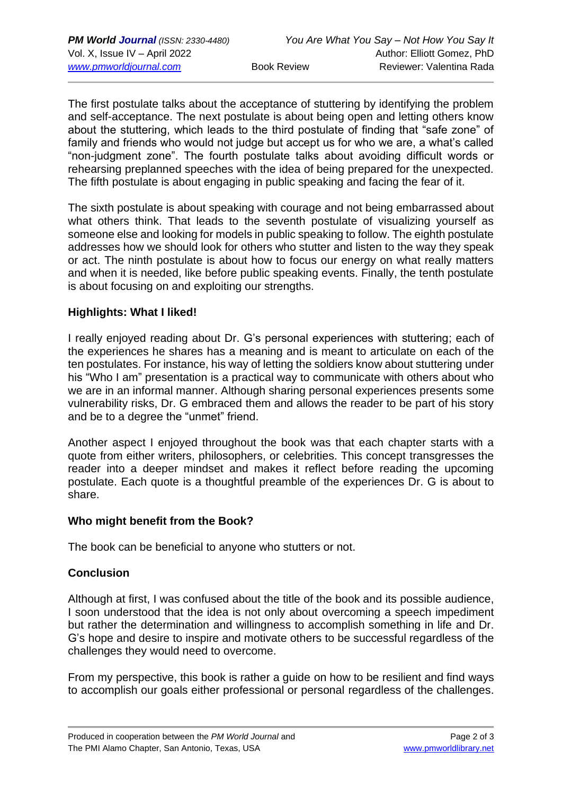The first postulate talks about the acceptance of stuttering by identifying the problem and self-acceptance. The next postulate is about being open and letting others know about the stuttering, which leads to the third postulate of finding that "safe zone" of family and friends who would not judge but accept us for who we are, a what's called "non-judgment zone". The fourth postulate talks about avoiding difficult words or rehearsing preplanned speeches with the idea of being prepared for the unexpected. The fifth postulate is about engaging in public speaking and facing the fear of it.

The sixth postulate is about speaking with courage and not being embarrassed about what others think. That leads to the seventh postulate of visualizing yourself as someone else and looking for models in public speaking to follow. The eighth postulate addresses how we should look for others who stutter and listen to the way they speak or act. The ninth postulate is about how to focus our energy on what really matters and when it is needed, like before public speaking events. Finally, the tenth postulate is about focusing on and exploiting our strengths.

#### **Highlights: What I liked!**

I really enjoyed reading about Dr. G's personal experiences with stuttering; each of the experiences he shares has a meaning and is meant to articulate on each of the ten postulates. For instance, his way of letting the soldiers know about stuttering under his "Who I am" presentation is a practical way to communicate with others about who we are in an informal manner. Although sharing personal experiences presents some vulnerability risks, Dr. G embraced them and allows the reader to be part of his story and be to a degree the "unmet" friend.

Another aspect I enjoyed throughout the book was that each chapter starts with a quote from either writers, philosophers, or celebrities. This concept transgresses the reader into a deeper mindset and makes it reflect before reading the upcoming postulate. Each quote is a thoughtful preamble of the experiences Dr. G is about to share.

#### **Who might benefit from the Book?**

The book can be beneficial to anyone who stutters or not.

### **Conclusion**

Although at first, I was confused about the title of the book and its possible audience, I soon understood that the idea is not only about overcoming a speech impediment but rather the determination and willingness to accomplish something in life and Dr. G's hope and desire to inspire and motivate others to be successful regardless of the challenges they would need to overcome.

From my perspective, this book is rather a guide on how to be resilient and find ways to accomplish our goals either professional or personal regardless of the challenges.